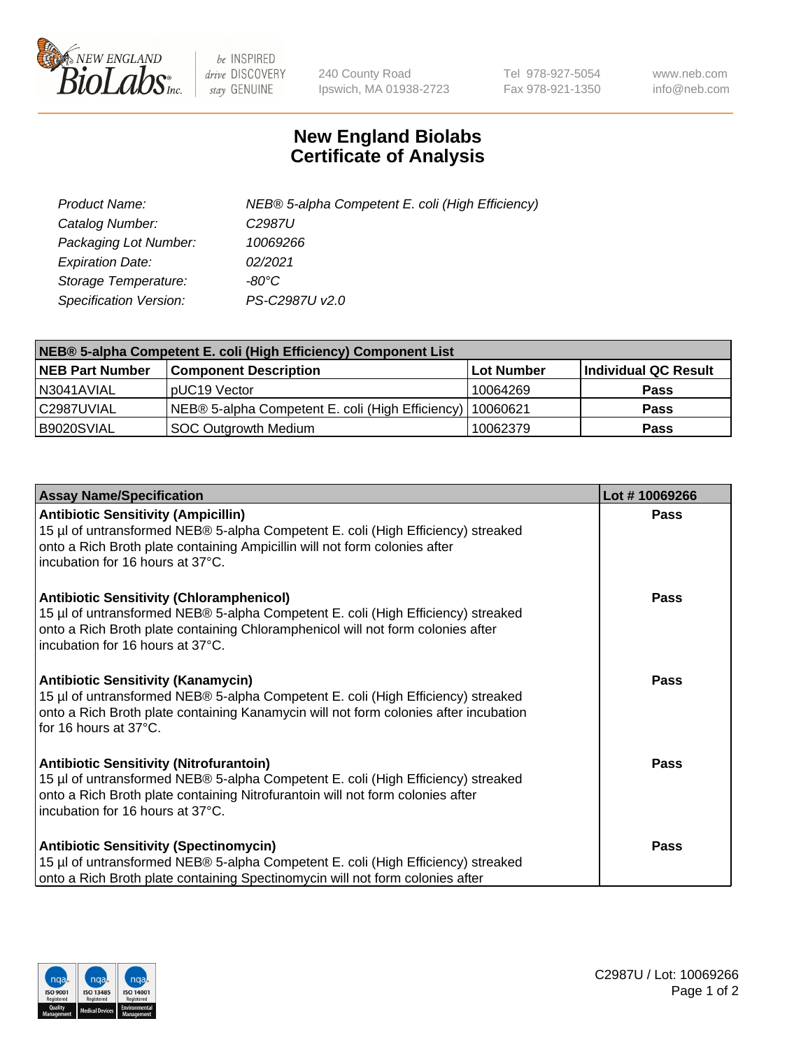

 $be$  INSPIRED drive DISCOVERY stay GENUINE

240 County Road Ipswich, MA 01938-2723 Tel 978-927-5054 Fax 978-921-1350 www.neb.com info@neb.com

## **New England Biolabs Certificate of Analysis**

| Product Name:                 | NEB® 5-alpha Competent E. coli (High Efficiency) |
|-------------------------------|--------------------------------------------------|
| Catalog Number:               | C <sub>2987</sub> U                              |
| Packaging Lot Number:         | 10069266                                         |
| <b>Expiration Date:</b>       | 02/2021                                          |
| Storage Temperature:          | -80°C                                            |
| <b>Specification Version:</b> | PS-C2987U v2.0                                   |

| NEB® 5-alpha Competent E. coli (High Efficiency) Component List |                                                  |            |                      |  |
|-----------------------------------------------------------------|--------------------------------------------------|------------|----------------------|--|
| <b>NEB Part Number</b>                                          | <b>Component Description</b>                     | Lot Number | Individual QC Result |  |
| N3041AVIAL                                                      | pUC19 Vector                                     | 10064269   | <b>Pass</b>          |  |
| C2987UVIAL                                                      | NEB® 5-alpha Competent E. coli (High Efficiency) | 10060621   | <b>Pass</b>          |  |
| B9020SVIAL                                                      | <b>SOC Outgrowth Medium</b>                      | 10062379   | <b>Pass</b>          |  |

| <b>Assay Name/Specification</b>                                                                                                                                                                                                                            | Lot #10069266 |
|------------------------------------------------------------------------------------------------------------------------------------------------------------------------------------------------------------------------------------------------------------|---------------|
| <b>Antibiotic Sensitivity (Ampicillin)</b><br>15 µl of untransformed NEB® 5-alpha Competent E. coli (High Efficiency) streaked<br>onto a Rich Broth plate containing Ampicillin will not form colonies after<br>incubation for 16 hours at 37°C.           | Pass          |
| <b>Antibiotic Sensitivity (Chloramphenicol)</b><br>15 µl of untransformed NEB® 5-alpha Competent E. coli (High Efficiency) streaked<br>onto a Rich Broth plate containing Chloramphenicol will not form colonies after<br>incubation for 16 hours at 37°C. | Pass          |
| <b>Antibiotic Sensitivity (Kanamycin)</b><br>15 µl of untransformed NEB® 5-alpha Competent E. coli (High Efficiency) streaked<br>onto a Rich Broth plate containing Kanamycin will not form colonies after incubation<br>for 16 hours at 37°C.             | Pass          |
| <b>Antibiotic Sensitivity (Nitrofurantoin)</b><br>15 µl of untransformed NEB® 5-alpha Competent E. coli (High Efficiency) streaked<br>onto a Rich Broth plate containing Nitrofurantoin will not form colonies after<br>incubation for 16 hours at 37°C.   | <b>Pass</b>   |
| <b>Antibiotic Sensitivity (Spectinomycin)</b><br>15 µl of untransformed NEB® 5-alpha Competent E. coli (High Efficiency) streaked<br>onto a Rich Broth plate containing Spectinomycin will not form colonies after                                         | Pass          |